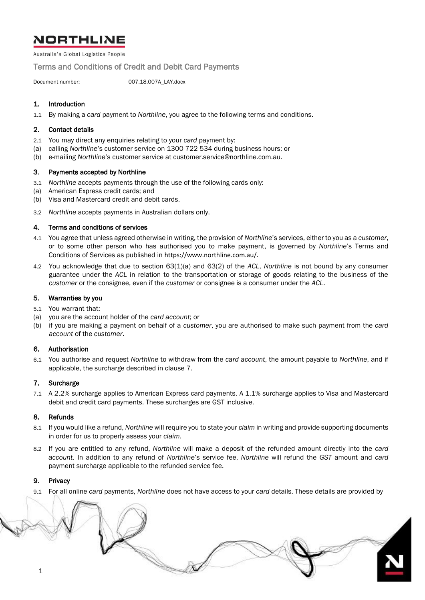# **NORTHLINE**

Australia's Global Logistics People

Terms and Conditions of Credit and Debit Card Payments

Document number: 007.18.007A\_LAY.docx

# 1. Introduction

1.1 By making a *card* payment to *Northline*, you agree to the following terms and conditions.

## 2. Contact details

- 2.1 You may direct any enquiries relating to your *card* payment by:
- (a) calling *Northline*'s customer service on 1300 722 534 during business hours; or
- (b) e-mailing *Northline*'s customer service at customer.service@northline.com.au.

#### <span id="page-0-1"></span>3. Payments accepted by Northline

- 3.1 *Northline* accepts payments through the use of the following cards only:
- (a) American Express credit cards; and
- (b) Visa and Mastercard credit and debit cards.
- 3.2 *Northline* accepts payments in Australian dollars only.

#### 4. Terms and conditions of services

- 4.1 You agree that unless agreed otherwise in writing, the provision of *Northline*'s services, either to you as a *customer*, or to some other person who has authorised you to make payment, is governed by *Northline*'s Terms and Conditions of Services as published in https://www.northline.com.au/.
- 4.2 You acknowledge that due to section 63(1)(a) and 63(2) of the *ACL*, *Northline* is not bound by any consumer guarantee under the *ACL* in relation to the transportation or storage of goods relating to the business of the *customer* or the consignee, even if the *customer* or consignee is a consumer under the *ACL*.

## 5. Warranties by you

- 5.1 You warrant that:
- (a) you are the account holder of the *card account*; or
- (b) if you are making a payment on behalf of a *customer*, you are authorised to make such payment from the *card account* of the *customer*.

## 6. Authorisation

6.1 You authorise and request *Northline* to withdraw from the *card account*, the amount payable to *Northline*, and if applicable, the surcharge described in clause [7.](#page-0-0)

#### <span id="page-0-0"></span>7. Surcharge

7.1 A 2.2% surcharge applies to American Express card payments. A 1.1% surcharge applies to Visa and Mastercard debit and credit card payments. These surcharges are GST inclusive.

#### 8. Refunds

- 8.1 If you would like a refund, *Northline* will require you to state your *claim* in writing and provide supporting documents in order for us to properly assess your *claim*.
- 8.2 If you are entitled to any refund, *Northline* will make a deposit of the refunded amount directly into the *card account*. In addition to any refund of *Northline*'s service fee, *Northline* will refund the *GST* amount and *card* payment surcharge applicable to the refunded service fee.

# 9. Privacy

9.1 For all online *card* payments, *Northline* does not have access to your *card* details. These details are provided by